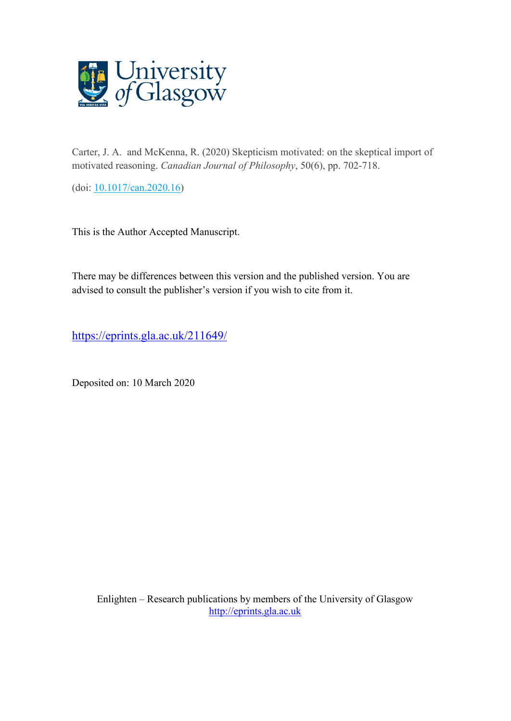

Carter, J. A. and McKenna, R. (2020) Skepticism motivated: on the skeptical import of motivated reasoning. *Canadian Journal of Philosophy*, 50(6), pp. 702-718.

(doi: [10.1017/can.2020.16\)](http://dx.doi.org/10.1017/can.2020.16)

This is the Author Accepted Manuscript.

There may be differences between this version and the published version. You are advised to consult the publisher's version if you wish to cite from it.

<https://eprints.gla.ac.uk/211649/>

Deposited on: 10 March 2020

Enlighten – Research publications by members of the University of Glasgow [http://eprints.gla.ac.uk](http://eprints.gla.ac.uk/)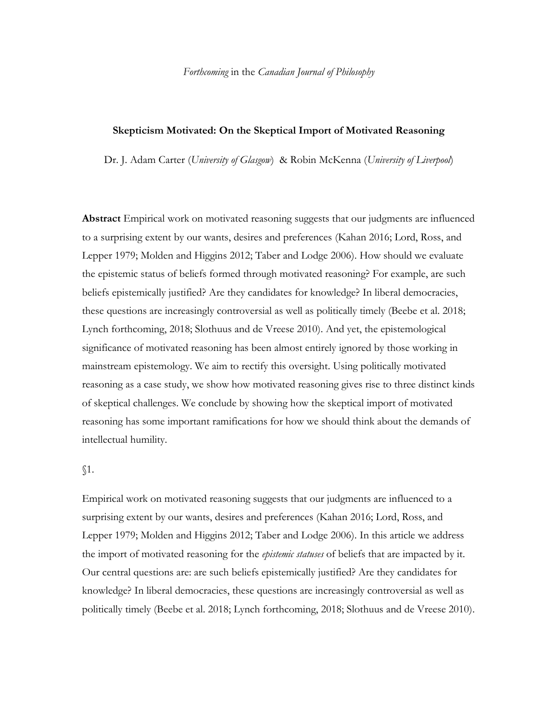# **Skepticism Motivated: On the Skeptical Import of Motivated Reasoning**

Dr. J. Adam Carter (*University of Glasgow*)& Robin McKenna (*University of Liverpool*)

**Abstract** Empirical work on motivated reasoning suggests that our judgments are influenced to a surprising extent by our wants, desires and preferences (Kahan 2016; Lord, Ross, and Lepper 1979; Molden and Higgins 2012; Taber and Lodge 2006). How should we evaluate the epistemic status of beliefs formed through motivated reasoning? For example, are such beliefs epistemically justified? Are they candidates for knowledge? In liberal democracies, these questions are increasingly controversial as well as politically timely (Beebe et al. 2018; Lynch forthcoming, 2018; Slothuus and de Vreese 2010). And yet, the epistemological significance of motivated reasoning has been almost entirely ignored by those working in mainstream epistemology. We aim to rectify this oversight. Using politically motivated reasoning as a case study, we show how motivated reasoning gives rise to three distinct kinds of skeptical challenges. We conclude by showing how the skeptical import of motivated reasoning has some important ramifications for how we should think about the demands of intellectual humility.

# §1.

Empirical work on motivated reasoning suggests that our judgments are influenced to a surprising extent by our wants, desires and preferences (Kahan 2016; Lord, Ross, and Lepper 1979; Molden and Higgins 2012; Taber and Lodge 2006). In this article we address the import of motivated reasoning for the *epistemic statuses* of beliefs that are impacted by it. Our central questions are: are such beliefs epistemically justified? Are they candidates for knowledge? In liberal democracies, these questions are increasingly controversial as well as politically timely (Beebe et al. 2018; Lynch forthcoming, 2018; Slothuus and de Vreese 2010).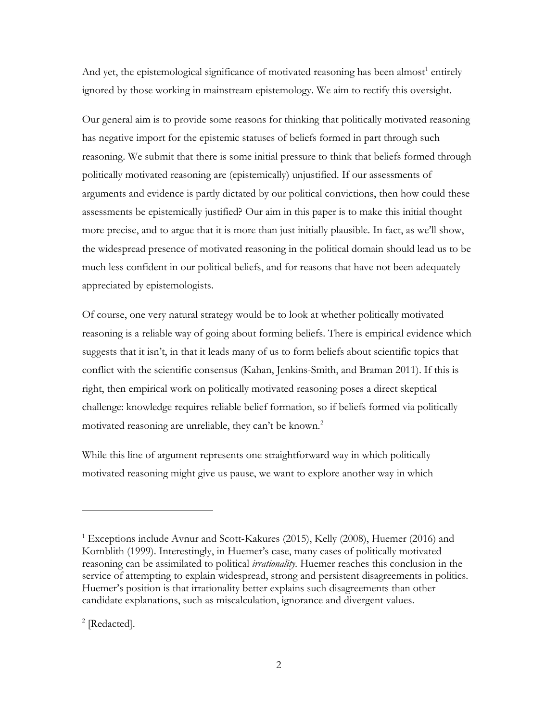And yet, the epistemological significance of motivated reasoning has been almost<sup>1</sup> entirely ignored by those working in mainstream epistemology. We aim to rectify this oversight.

Our general aim is to provide some reasons for thinking that politically motivated reasoning has negative import for the epistemic statuses of beliefs formed in part through such reasoning. We submit that there is some initial pressure to think that beliefs formed through politically motivated reasoning are (epistemically) unjustified. If our assessments of arguments and evidence is partly dictated by our political convictions, then how could these assessments be epistemically justified? Our aim in this paper is to make this initial thought more precise, and to argue that it is more than just initially plausible. In fact, as we'll show, the widespread presence of motivated reasoning in the political domain should lead us to be much less confident in our political beliefs, and for reasons that have not been adequately appreciated by epistemologists.

Of course, one very natural strategy would be to look at whether politically motivated reasoning is a reliable way of going about forming beliefs. There is empirical evidence which suggests that it isn't, in that it leads many of us to form beliefs about scientific topics that conflict with the scientific consensus (Kahan, Jenkins-Smith, and Braman 2011). If this is right, then empirical work on politically motivated reasoning poses a direct skeptical challenge: knowledge requires reliable belief formation, so if beliefs formed via politically motivated reasoning are unreliable, they can't be known.<sup>2</sup>

While this line of argument represents one straightforward way in which politically motivated reasoning might give us pause, we want to explore another way in which

<sup>1</sup> Exceptions include Avnur and Scott-Kakures (2015), Kelly (2008), Huemer (2016) and Kornblith (1999). Interestingly, in Huemer's case, many cases of politically motivated reasoning can be assimilated to political *irrationality.* Huemer reaches this conclusion in the service of attempting to explain widespread, strong and persistent disagreements in politics. Huemer's position is that irrationality better explains such disagreements than other candidate explanations, such as miscalculation, ignorance and divergent values.

<sup>&</sup>lt;sup>2</sup> [Redacted].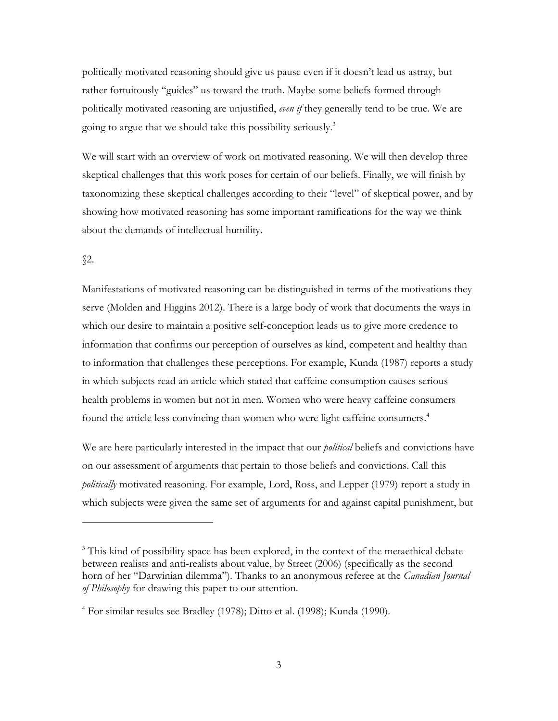politically motivated reasoning should give us pause even if it doesn't lead us astray, but rather fortuitously "guides" us toward the truth. Maybe some beliefs formed through politically motivated reasoning are unjustified, *even if* they generally tend to be true. We are going to argue that we should take this possibility seriously.<sup>3</sup>

We will start with an overview of work on motivated reasoning. We will then develop three skeptical challenges that this work poses for certain of our beliefs. Finally, we will finish by taxonomizing these skeptical challenges according to their "level" of skeptical power, and by showing how motivated reasoning has some important ramifications for the way we think about the demands of intellectual humility.

# §2.

Manifestations of motivated reasoning can be distinguished in terms of the motivations they serve (Molden and Higgins 2012). There is a large body of work that documents the ways in which our desire to maintain a positive self-conception leads us to give more credence to information that confirms our perception of ourselves as kind, competent and healthy than to information that challenges these perceptions. For example, Kunda (1987) reports a study in which subjects read an article which stated that caffeine consumption causes serious health problems in women but not in men. Women who were heavy caffeine consumers found the article less convincing than women who were light caffeine consumers.<sup>4</sup>

We are here particularly interested in the impact that our *political* beliefs and convictions have on our assessment of arguments that pertain to those beliefs and convictions. Call this *politically* motivated reasoning. For example, Lord, Ross, and Lepper (1979) report a study in which subjects were given the same set of arguments for and against capital punishment, but

<sup>&</sup>lt;sup>3</sup> This kind of possibility space has been explored, in the context of the metaethical debate between realists and anti-realists about value, by Street (2006) (specifically as the second horn of her "Darwinian dilemma"). Thanks to an anonymous referee at the *Canadian Journal of Philosophy* for drawing this paper to our attention.

<sup>4</sup> For similar results see Bradley (1978); Ditto et al. (1998); Kunda (1990).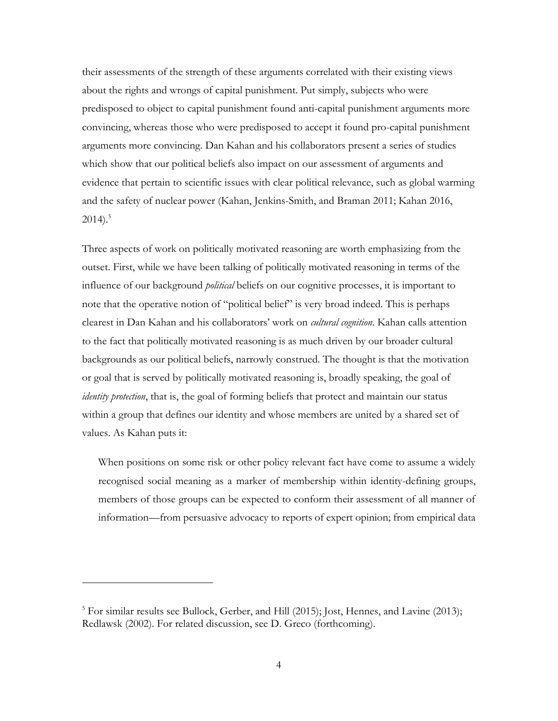their assessments of the strength of these arguments correlated with their existing views about the rights and wrongs of capital punishment. Put simply, subjects who were predisposed to object to capital punishment found anti-capital punishment arguments more convincing, whereas those who were predisposed to accept it found pro-capital punishment arguments more convincing. Dan Kahan and his collaborators present a series of studies which show that our political beliefs also impact on our assessment of arguments and evidence that pertain to scientific issues with clear political relevance, such as global warming and the safety of nuclear power (Kahan, Jenkins-Smith, and Braman 2011; Kahan 2016, 2014). 5

Three aspects of work on politically motivated reasoning are worth emphasizing from the outset. First, while we have been talking of politically motivated reasoning in terms of the influence of our background *political* beliefs on our cognitive processes, it is important to note that the operative notion of "political belief" is very broad indeed. This is perhaps clearest in Dan Kahan and his collaborators' work on *cultural cognition*. Kahan calls attention to the fact that politically motivated reasoning is as much driven by our broader cultural backgrounds as our political beliefs, narrowly construed. The thought is that the motivation or goal that is served by politically motivated reasoning is, broadly speaking, the goal of *identity protection*, that is, the goal of forming beliefs that protect and maintain our status within a group that defines our identity and whose members are united by a shared set of values. As Kahan puts it:

When positions on some risk or other policy relevant fact have come to assume a widely recognised social meaning as a marker of membership within identity-defining groups, members of those groups can be expected to conform their assessment of all manner of information—from persuasive advocacy to reports of expert opinion; from empirical data

<sup>&</sup>lt;sup>5</sup> For similar results see Bullock, Gerber, and Hill (2015); Jost, Hennes, and Lavine (2013); Redlawsk (2002). For related discussion, see D. Greco (forthcoming).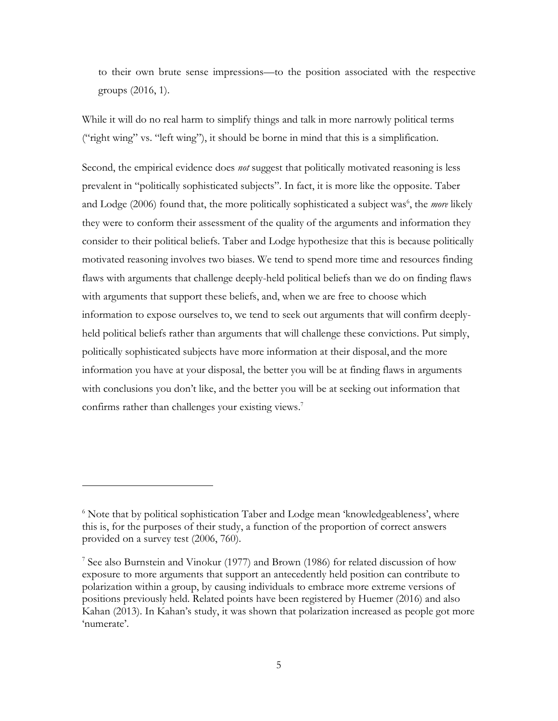to their own brute sense impressions—to the position associated with the respective groups (2016, 1).

While it will do no real harm to simplify things and talk in more narrowly political terms ("right wing" vs. "left wing"), it should be borne in mind that this is a simplification.

Second, the empirical evidence does *not* suggest that politically motivated reasoning is less prevalent in "politically sophisticated subjects". In fact, it is more like the opposite. Taber and Lodge (2006) found that, the more politically sophisticated a subject was<sup>6</sup>, the *more* likely they were to conform their assessment of the quality of the arguments and information they consider to their political beliefs. Taber and Lodge hypothesize that this is because politically motivated reasoning involves two biases. We tend to spend more time and resources finding flaws with arguments that challenge deeply-held political beliefs than we do on finding flaws with arguments that support these beliefs, and, when we are free to choose which information to expose ourselves to, we tend to seek out arguments that will confirm deeplyheld political beliefs rather than arguments that will challenge these convictions. Put simply, politically sophisticated subjects have more information at their disposal, and the more information you have at your disposal, the better you will be at finding flaws in arguments with conclusions you don't like, and the better you will be at seeking out information that confirms rather than challenges your existing views. 7

<sup>&</sup>lt;sup>6</sup> Note that by political sophistication Taber and Lodge mean 'knowledgeableness', where this is, for the purposes of their study, a function of the proportion of correct answers provided on a survey test (2006, 760).

<sup>7</sup> See also Burnstein and Vinokur (1977) and Brown (1986) for related discussion of how exposure to more arguments that support an antecedently held position can contribute to polarization within a group, by causing individuals to embrace more extreme versions of positions previously held. Related points have been registered by Huemer (2016) and also Kahan (2013). In Kahan's study, it was shown that polarization increased as people got more 'numerate'.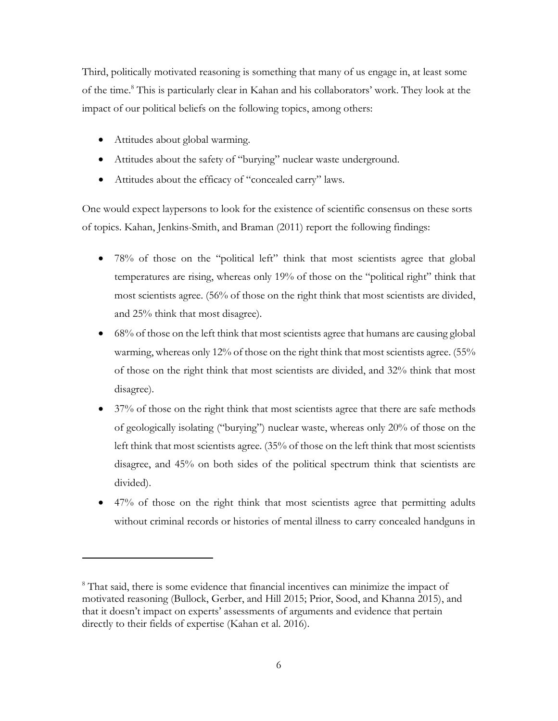Third, politically motivated reasoning is something that many of us engage in, at least some of the time.<sup>8</sup> This is particularly clear in Kahan and his collaborators' work. They look at the impact of our political beliefs on the following topics, among others:

- Attitudes about global warming.
- Attitudes about the safety of "burying" nuclear waste underground.
- Attitudes about the efficacy of "concealed carry" laws.

One would expect laypersons to look for the existence of scientific consensus on these sorts of topics. Kahan, Jenkins-Smith, and Braman (2011) report the following findings:

- 78% of those on the "political left" think that most scientists agree that global temperatures are rising, whereas only 19% of those on the "political right" think that most scientists agree. (56% of those on the right think that most scientists are divided, and 25% think that most disagree).
- 68% of those on the left think that most scientists agree that humans are causing global warming, whereas only 12% of those on the right think that most scientists agree. (55% of those on the right think that most scientists are divided, and 32% think that most disagree).
- 37% of those on the right think that most scientists agree that there are safe methods of geologically isolating ("burying") nuclear waste, whereas only 20% of those on the left think that most scientists agree. (35% of those on the left think that most scientists disagree, and 45% on both sides of the political spectrum think that scientists are divided).
- 47% of those on the right think that most scientists agree that permitting adults without criminal records or histories of mental illness to carry concealed handguns in

<sup>&</sup>lt;sup>8</sup> That said, there is some evidence that financial incentives can minimize the impact of motivated reasoning (Bullock, Gerber, and Hill 2015; Prior, Sood, and Khanna 2015), and that it doesn't impact on experts' assessments of arguments and evidence that pertain directly to their fields of expertise (Kahan et al. 2016).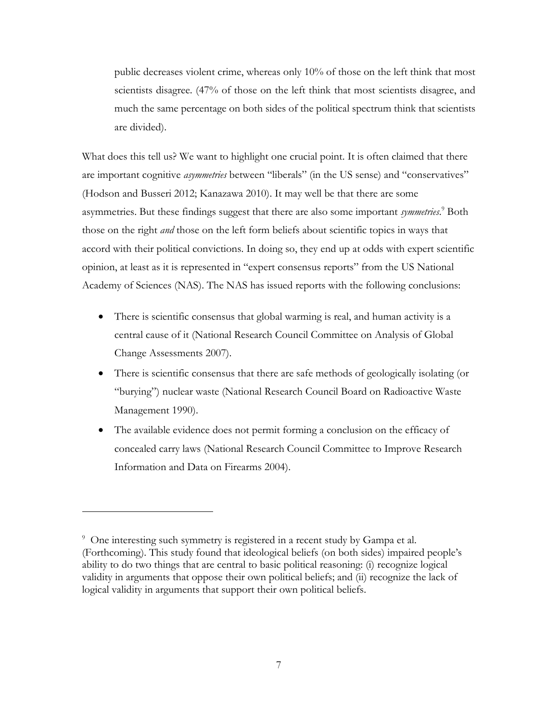public decreases violent crime, whereas only 10% of those on the left think that most scientists disagree. (47% of those on the left think that most scientists disagree, and much the same percentage on both sides of the political spectrum think that scientists are divided).

What does this tell us? We want to highlight one crucial point. It is often claimed that there are important cognitive *asymmetries* between "liberals" (in the US sense) and "conservatives" (Hodson and Busseri 2012; Kanazawa 2010). It may well be that there are some asymmetries. But these findings suggest that there are also some important *symmetries*. <sup>9</sup> Both those on the right *and* those on the left form beliefs about scientific topics in ways that accord with their political convictions. In doing so, they end up at odds with expert scientific opinion, at least as it is represented in "expert consensus reports" from the US National Academy of Sciences (NAS). The NAS has issued reports with the following conclusions:

- There is scientific consensus that global warming is real, and human activity is a central cause of it (National Research Council Committee on Analysis of Global Change Assessments 2007).
- There is scientific consensus that there are safe methods of geologically isolating (or "burying") nuclear waste (National Research Council Board on Radioactive Waste Management 1990).
- The available evidence does not permit forming a conclusion on the efficacy of concealed carry laws (National Research Council Committee to Improve Research Information and Data on Firearms 2004).

<sup>&</sup>lt;sup>9</sup> One interesting such symmetry is registered in a recent study by Gampa et al. (Forthcoming). This study found that ideological beliefs (on both sides) impaired people's ability to do two things that are central to basic political reasoning: (i) recognize logical validity in arguments that oppose their own political beliefs; and (ii) recognize the lack of logical validity in arguments that support their own political beliefs.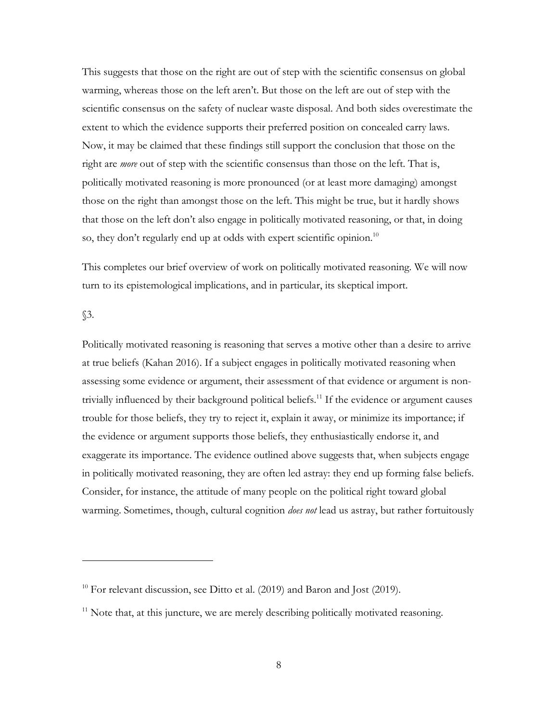This suggests that those on the right are out of step with the scientific consensus on global warming, whereas those on the left aren't. But those on the left are out of step with the scientific consensus on the safety of nuclear waste disposal. And both sides overestimate the extent to which the evidence supports their preferred position on concealed carry laws. Now, it may be claimed that these findings still support the conclusion that those on the right are *more* out of step with the scientific consensus than those on the left. That is, politically motivated reasoning is more pronounced (or at least more damaging) amongst those on the right than amongst those on the left. This might be true, but it hardly shows that those on the left don't also engage in politically motivated reasoning, or that, in doing so, they don't regularly end up at odds with expert scientific opinion.<sup>10</sup>

This completes our brief overview of work on politically motivated reasoning. We will now turn to its epistemological implications, and in particular, its skeptical import.

### §3.

Politically motivated reasoning is reasoning that serves a motive other than a desire to arrive at true beliefs (Kahan 2016). If a subject engages in politically motivated reasoning when assessing some evidence or argument, their assessment of that evidence or argument is nontrivially influenced by their background political beliefs.<sup>11</sup> If the evidence or argument causes trouble for those beliefs, they try to reject it, explain it away, or minimize its importance; if the evidence or argument supports those beliefs, they enthusiastically endorse it, and exaggerate its importance. The evidence outlined above suggests that, when subjects engage in politically motivated reasoning, they are often led astray: they end up forming false beliefs. Consider, for instance, the attitude of many people on the political right toward global warming. Sometimes, though, cultural cognition *does not* lead us astray, but rather fortuitously

 $10$  For relevant discussion, see Ditto et al. (2019) and Baron and Jost (2019).

 $11$  Note that, at this juncture, we are merely describing politically motivated reasoning.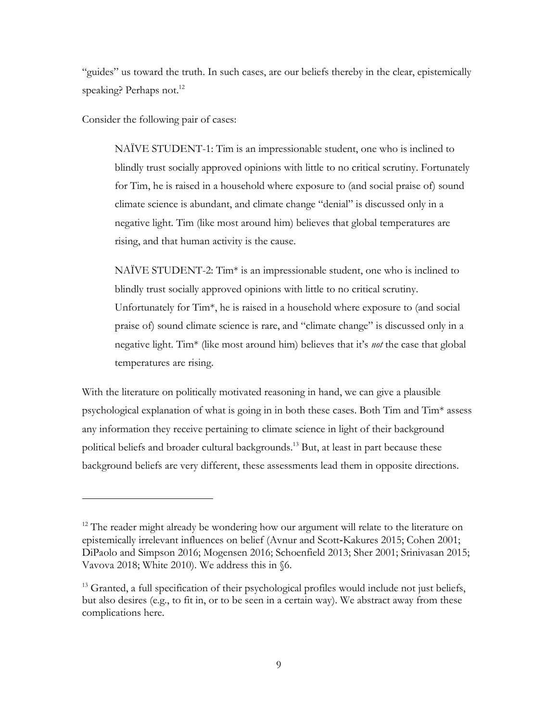"guides" us toward the truth. In such cases, are our beliefs thereby in the clear, epistemically speaking? Perhaps not.<sup>12</sup>

Consider the following pair of cases:

NAÏVE STUDENT-1: Tim is an impressionable student, one who is inclined to blindly trust socially approved opinions with little to no critical scrutiny. Fortunately for Tim, he is raised in a household where exposure to (and social praise of) sound climate science is abundant, and climate change "denial" is discussed only in a negative light. Tim (like most around him) believes that global temperatures are rising, and that human activity is the cause.

NAÏVE STUDENT-2: Tim\* is an impressionable student, one who is inclined to blindly trust socially approved opinions with little to no critical scrutiny. Unfortunately for Tim\*, he is raised in a household where exposure to (and social praise of) sound climate science is rare, and "climate change" is discussed only in a negative light. Tim\* (like most around him) believes that it's *not* the case that global temperatures are rising.

With the literature on politically motivated reasoning in hand, we can give a plausible psychological explanation of what is going in in both these cases. Both Tim and Tim\* assess any information they receive pertaining to climate science in light of their background political beliefs and broader cultural backgrounds. <sup>13</sup> But, at least in part because these background beliefs are very different, these assessments lead them in opposite directions.

 $12$  The reader might already be wondering how our argument will relate to the literature on epistemically irrelevant influences on belief (Avnur and Scott-Kakures 2015; Cohen 2001; DiPaolo and Simpson 2016; Mogensen 2016; Schoenfield 2013; Sher 2001; Srinivasan 2015; Vavova 2018; White 2010). We address this in §6.

<sup>&</sup>lt;sup>13</sup> Granted, a full specification of their psychological profiles would include not just beliefs, but also desires (e.g., to fit in, or to be seen in a certain way). We abstract away from these complications here.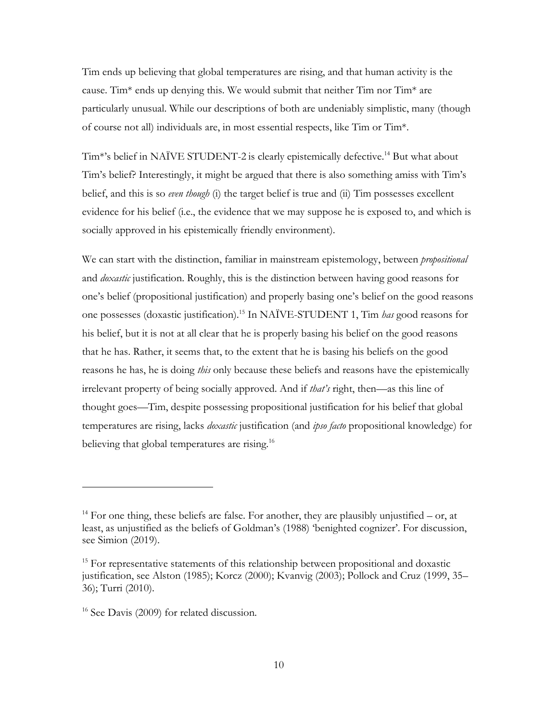Tim ends up believing that global temperatures are rising, and that human activity is the cause. Tim\* ends up denying this. We would submit that neither Tim nor  $\text{Tim}^*$  are particularly unusual. While our descriptions of both are undeniably simplistic, many (though of course not all) individuals are, in most essential respects, like Tim or Tim\*.

Tim<sup>\*</sup>'s belief in NAÏVE STUDENT-2 is clearly epistemically defective.<sup>14</sup> But what about Tim's belief? Interestingly, it might be argued that there is also something amiss with Tim's belief, and this is so *even though* (i) the target belief is true and (ii) Tim possesses excellent evidence for his belief (i.e., the evidence that we may suppose he is exposed to, and which is socially approved in his epistemically friendly environment).

We can start with the distinction, familiar in mainstream epistemology, between *propositional*  and *doxastic* justification. Roughly, this is the distinction between having good reasons for one's belief (propositional justification) and properly basing one's belief on the good reasons one possesses (doxastic justification).<sup>15</sup> In NAÏVE-STUDENT 1, Tim *has* good reasons for his belief, but it is not at all clear that he is properly basing his belief on the good reasons that he has. Rather, it seems that, to the extent that he is basing his beliefs on the good reasons he has, he is doing *this* only because these beliefs and reasons have the epistemically irrelevant property of being socially approved. And if *that's* right, then—as this line of thought goes—Tim, despite possessing propositional justification for his belief that global temperatures are rising, lacks *doxastic* justification (and *ipso facto* propositional knowledge) for believing that global temperatures are rising.<sup>16</sup>

<sup>&</sup>lt;sup>14</sup> For one thing, these beliefs are false. For another, they are plausibly unjustified  $-$  or, at least, as unjustified as the beliefs of Goldman's (1988) 'benighted cognizer'. For discussion, see Simion (2019).

<sup>&</sup>lt;sup>15</sup> For representative statements of this relationship between propositional and doxastic justification, see Alston (1985); Korcz (2000); Kvanvig (2003); Pollock and Cruz (1999, 35– 36); Turri (2010).

<sup>&</sup>lt;sup>16</sup> See Davis (2009) for related discussion.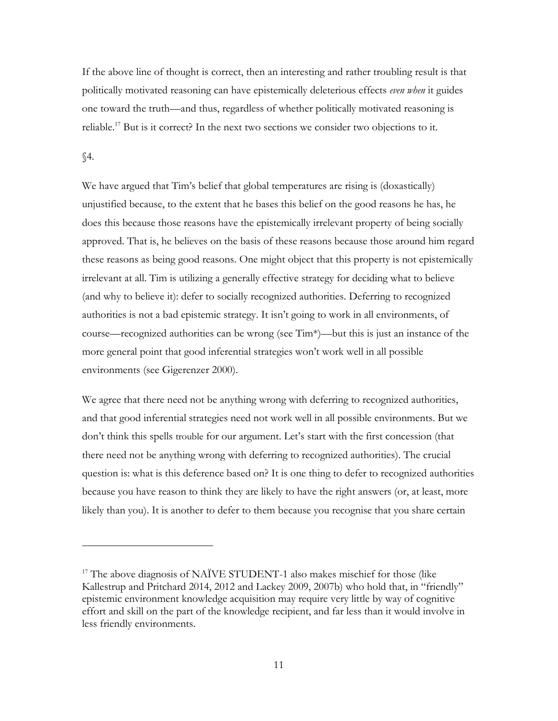If the above line of thought is correct, then an interesting and rather troubling result is that politically motivated reasoning can have epistemically deleterious effects *even when* it guides one toward the truth—and thus, regardless of whether politically motivated reasoning is reliable.<sup>17</sup> But is it correct? In the next two sections we consider two objections to it.

## §4.

We have argued that Tim's belief that global temperatures are rising is (doxastically) unjustified because, to the extent that he bases this belief on the good reasons he has, he does this because those reasons have the epistemically irrelevant property of being socially approved. That is, he believes on the basis of these reasons because those around him regard these reasons as being good reasons. One might object that this property is not epistemically irrelevant at all. Tim is utilizing a generally effective strategy for deciding what to believe (and why to believe it): defer to socially recognized authorities. Deferring to recognized authorities is not a bad epistemic strategy. It isn't going to work in all environments, of course—recognized authorities can be wrong (see Tim\*)—but this is just an instance of the more general point that good inferential strategies won't work well in all possible environments (see Gigerenzer 2000).

We agree that there need not be anything wrong with deferring to recognized authorities, and that good inferential strategies need not work well in all possible environments. But we don't think this spells trouble for our argument. Let's start with the first concession (that there need not be anything wrong with deferring to recognized authorities). The crucial question is: what is this deference based on? It is one thing to defer to recognized authorities because you have reason to think they are likely to have the right answers (or, at least, more likely than you). It is another to defer to them because you recognise that you share certain

<sup>&</sup>lt;sup>17</sup> The above diagnosis of NAÏVE STUDENT-1 also makes mischief for those (like Kallestrup and Pritchard 2014, 2012 and Lackey 2009, 2007b) who hold that, in "friendly" epistemic environment knowledge acquisition may require very little by way of cognitive effort and skill on the part of the knowledge recipient, and far less than it would involve in less friendly environments.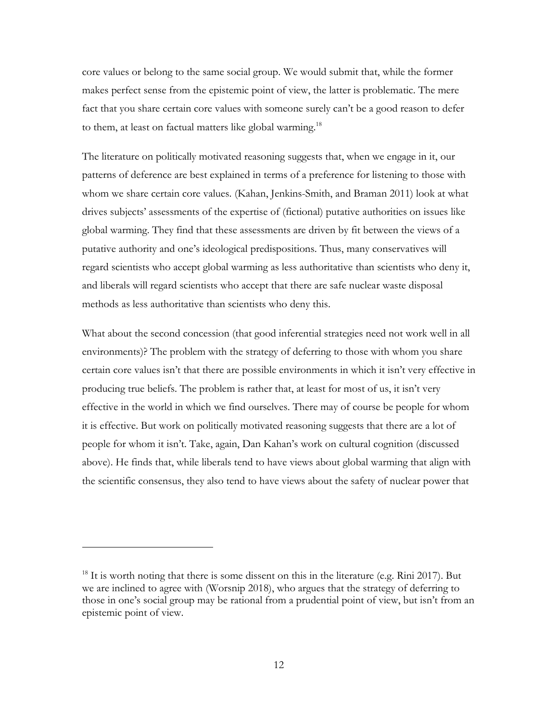core values or belong to the same social group. We would submit that, while the former makes perfect sense from the epistemic point of view, the latter is problematic. The mere fact that you share certain core values with someone surely can't be a good reason to defer to them, at least on factual matters like global warming.<sup>18</sup>

The literature on politically motivated reasoning suggests that, when we engage in it, our patterns of deference are best explained in terms of a preference for listening to those with whom we share certain core values. (Kahan, Jenkins-Smith, and Braman 2011) look at what drives subjects' assessments of the expertise of (fictional) putative authorities on issues like global warming. They find that these assessments are driven by fit between the views of a putative authority and one's ideological predispositions. Thus, many conservatives will regard scientists who accept global warming as less authoritative than scientists who deny it, and liberals will regard scientists who accept that there are safe nuclear waste disposal methods as less authoritative than scientists who deny this.

What about the second concession (that good inferential strategies need not work well in all environments)? The problem with the strategy of deferring to those with whom you share certain core values isn't that there are possible environments in which it isn't very effective in producing true beliefs. The problem is rather that, at least for most of us, it isn't very effective in the world in which we find ourselves. There may of course be people for whom it is effective. But work on politically motivated reasoning suggests that there are a lot of people for whom it isn't. Take, again, Dan Kahan's work on cultural cognition (discussed above). He finds that, while liberals tend to have views about global warming that align with the scientific consensus, they also tend to have views about the safety of nuclear power that

 $18$  It is worth noting that there is some dissent on this in the literature (e.g. Rini 2017). But we are inclined to agree with (Worsnip 2018), who argues that the strategy of deferring to those in one's social group may be rational from a prudential point of view, but isn't from an epistemic point of view.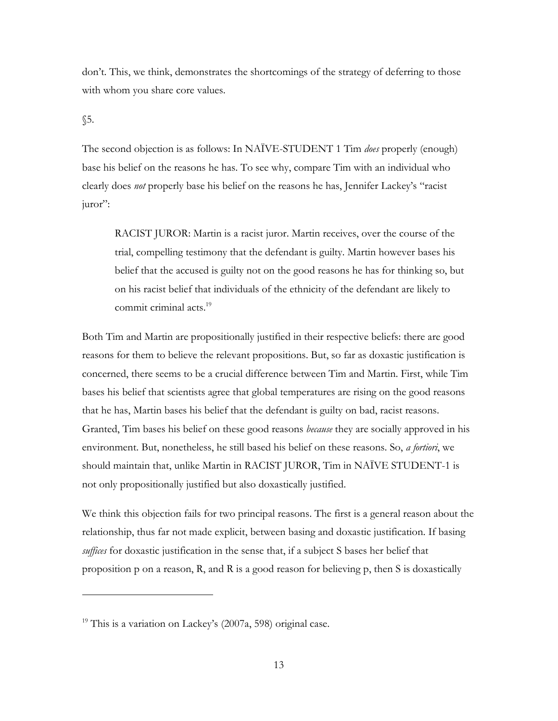don't. This, we think, demonstrates the shortcomings of the strategy of deferring to those with whom you share core values.

#### §5.

The second objection is as follows: In NAÏVE-STUDENT 1 Tim *does* properly (enough) base his belief on the reasons he has. To see why, compare Tim with an individual who clearly does *not* properly base his belief on the reasons he has, Jennifer Lackey's "racist juror":

RACIST JUROR: Martin is a racist juror. Martin receives, over the course of the trial, compelling testimony that the defendant is guilty. Martin however bases his belief that the accused is guilty not on the good reasons he has for thinking so, but on his racist belief that individuals of the ethnicity of the defendant are likely to commit criminal acts. 19

Both Tim and Martin are propositionally justified in their respective beliefs: there are good reasons for them to believe the relevant propositions. But, so far as doxastic justification is concerned, there seems to be a crucial difference between Tim and Martin. First, while Tim bases his belief that scientists agree that global temperatures are rising on the good reasons that he has, Martin bases his belief that the defendant is guilty on bad, racist reasons. Granted, Tim bases his belief on these good reasons *because* they are socially approved in his environment. But, nonetheless, he still based his belief on these reasons. So, *a fortiori*, we should maintain that, unlike Martin in RACIST JUROR, Tim in NAÏVE STUDENT-1 is not only propositionally justified but also doxastically justified.

We think this objection fails for two principal reasons. The first is a general reason about the relationship, thus far not made explicit, between basing and doxastic justification. If basing *suffices* for doxastic justification in the sense that, if a subject S bases her belief that proposition  $p$  on a reason, R, and R is a good reason for believing  $p$ , then S is doxastically

 $19$  This is a variation on Lackey's (2007a, 598) original case.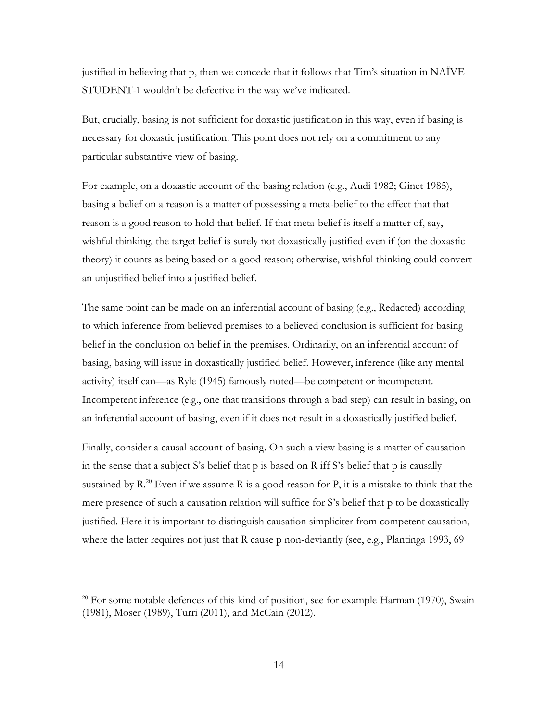justified in believing that p, then we concede that it follows that Tim's situation in NAÏVE STUDENT-1 wouldn't be defective in the way we've indicated.

But, crucially, basing is not sufficient for doxastic justification in this way, even if basing is necessary for doxastic justification. This point does not rely on a commitment to any particular substantive view of basing.

For example, on a doxastic account of the basing relation (e.g., Audi 1982; Ginet 1985), basing a belief on a reason is a matter of possessing a meta-belief to the effect that that reason is a good reason to hold that belief. If that meta-belief is itself a matter of, say, wishful thinking, the target belief is surely not doxastically justified even if (on the doxastic theory) it counts as being based on a good reason; otherwise, wishful thinking could convert an unjustified belief into a justified belief.

The same point can be made on an inferential account of basing (e.g., Redacted) according to which inference from believed premises to a believed conclusion is sufficient for basing belief in the conclusion on belief in the premises. Ordinarily, on an inferential account of basing, basing will issue in doxastically justified belief. However, inference (like any mental activity) itself can—as Ryle (1945) famously noted—be competent or incompetent. Incompetent inference (e.g., one that transitions through a bad step) can result in basing, on an inferential account of basing, even if it does not result in a doxastically justified belief.

Finally, consider a causal account of basing. On such a view basing is a matter of causation in the sense that a subject S's belief that  $p$  is based on R iff S's belief that  $p$  is causally sustained by  $R^{20}$  Even if we assume R is a good reason for P, it is a mistake to think that the mere presence of such a causation relation will suffice for S's belief that p to be doxastically justified. Here it is important to distinguish causation simpliciter from competent causation, where the latter requires not just that R cause p non-deviantly (see, e.g., Plantinga 1993, 69)

 $20$  For some notable defences of this kind of position, see for example Harman (1970), Swain (1981), Moser (1989), Turri (2011), and McCain (2012).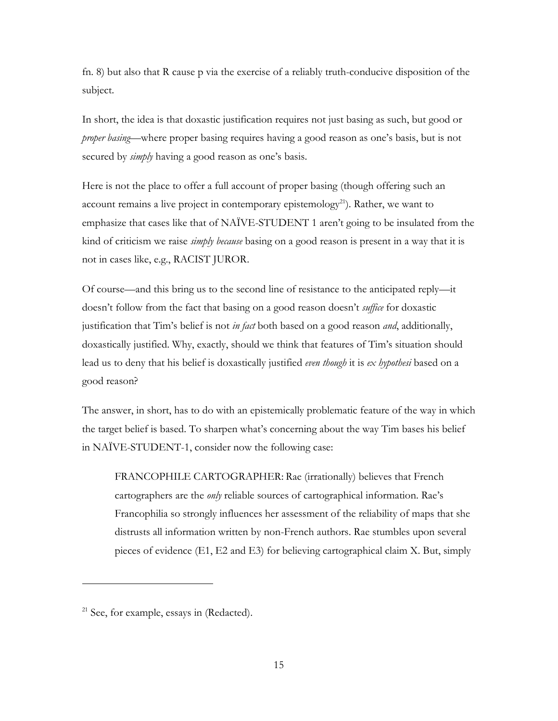fn. 8) but also that R cause p via the exercise of a reliably truth-conducive disposition of the subject.

In short, the idea is that doxastic justification requires not just basing as such, but good or *proper basing*—where proper basing requires having a good reason as one's basis, but is not secured by *simply* having a good reason as one's basis.

Here is not the place to offer a full account of proper basing (though offering such an account remains a live project in contemporary epistemology<sup>21</sup>). Rather, we want to emphasize that cases like that of NAÏVE-STUDENT 1 aren't going to be insulated from the kind of criticism we raise *simply because* basing on a good reason is present in a way that it is not in cases like, e.g., RACIST JUROR.

Of course—and this bring us to the second line of resistance to the anticipated reply—it doesn't follow from the fact that basing on a good reason doesn't *suffice* for doxastic justification that Tim's belief is not *in fact* both based on a good reason *and*, additionally, doxastically justified. Why, exactly, should we think that features of Tim's situation should lead us to deny that his belief is doxastically justified *even though* it is *ex hypothesi* based on a good reason?

The answer, in short, has to do with an epistemically problematic feature of the way in which the target belief is based. To sharpen what's concerning about the way Tim bases his belief in NAÏVE-STUDENT-1, consider now the following case:

FRANCOPHILE CARTOGRAPHER: Rae (irrationally) believes that French cartographers are the *only* reliable sources of cartographical information. Rae's Francophilia so strongly influences her assessment of the reliability of maps that she distrusts all information written by non-French authors. Rae stumbles upon several pieces of evidence (E1, E2 and E3) for believing cartographical claim X. But, simply

 $21$  See, for example, essays in (Redacted).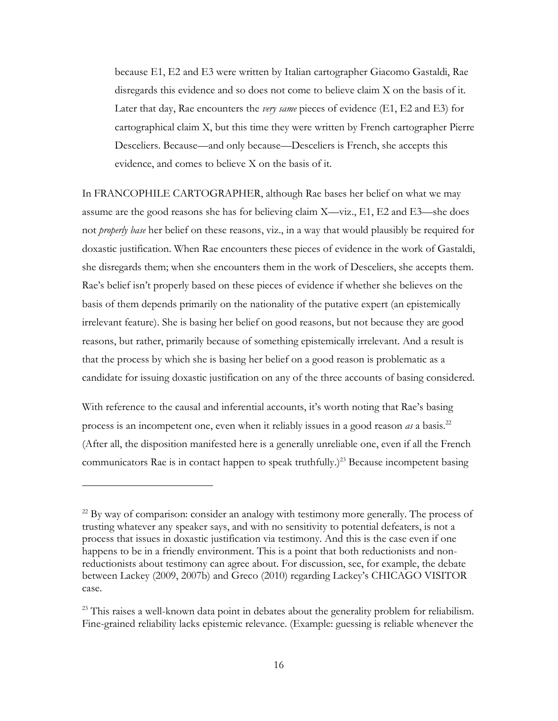because E1, E2 and E3 were written by Italian cartographer Giacomo Gastaldi, Rae disregards this evidence and so does not come to believe claim X on the basis of it. Later that day, Rae encounters the *very same* pieces of evidence (E1, E2 and E3) for cartographical claim X, but this time they were written by French cartographer Pierre Desceliers. Because—and only because—Desceliers is French, she accepts this evidence, and comes to believe X on the basis of it.

In FRANCOPHILE CARTOGRAPHER, although Rae bases her belief on what we may assume are the good reasons she has for believing claim X—viz., E1, E2 and E3—she does not *properly base* her belief on these reasons, viz., in a way that would plausibly be required for doxastic justification. When Rae encounters these pieces of evidence in the work of Gastaldi, she disregards them; when she encounters them in the work of Desceliers, she accepts them. Rae's belief isn't properly based on these pieces of evidence if whether she believes on the basis of them depends primarily on the nationality of the putative expert (an epistemically irrelevant feature). She is basing her belief on good reasons, but not because they are good reasons, but rather, primarily because of something epistemically irrelevant. And a result is that the process by which she is basing her belief on a good reason is problematic as a candidate for issuing doxastic justification on any of the three accounts of basing considered.

With reference to the causal and inferential accounts, it's worth noting that Rae's basing process is an incompetent one, even when it reliably issues in a good reason *as* a basis.<sup>22</sup> (After all, the disposition manifested here is a generally unreliable one, even if all the French communicators Rae is in contact happen to speak truthfully.) <sup>23</sup> Because incompetent basing

 $^{22}$  By way of comparison: consider an analogy with testimony more generally. The process of trusting whatever any speaker says, and with no sensitivity to potential defeaters, is not a process that issues in doxastic justification via testimony. And this is the case even if one happens to be in a friendly environment. This is a point that both reductionists and nonreductionists about testimony can agree about. For discussion, see, for example, the debate between Lackey (2009, 2007b) and Greco (2010) regarding Lackey's CHICAGO VISITOR case.

 $23$  This raises a well-known data point in debates about the generality problem for reliabilism. Fine-grained reliability lacks epistemic relevance. (Example: guessing is reliable whenever the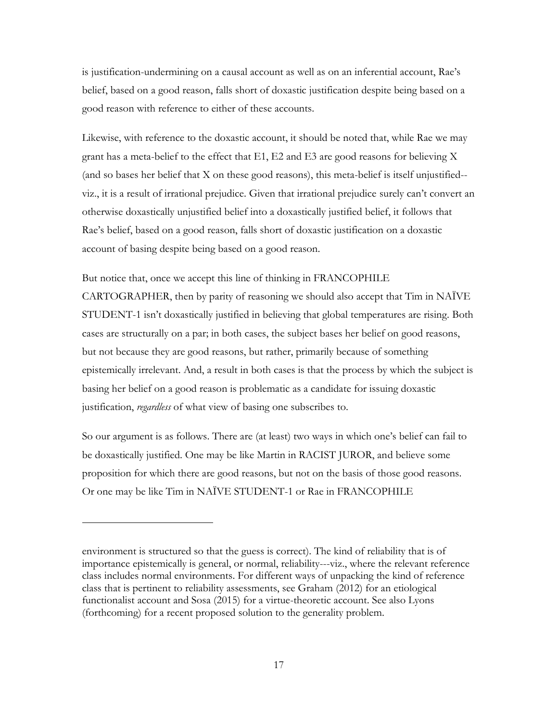is justification-undermining on a causal account as well as on an inferential account, Rae's belief, based on a good reason, falls short of doxastic justification despite being based on a good reason with reference to either of these accounts.

Likewise, with reference to the doxastic account, it should be noted that, while Rae we may grant has a meta-belief to the effect that  $E1$ ,  $E2$  and  $E3$  are good reasons for believing X (and so bases her belief that X on these good reasons), this meta-belief is itself unjustified- viz., it is a result of irrational prejudice. Given that irrational prejudice surely can't convert an otherwise doxastically unjustified belief into a doxastically justified belief, it follows that Rae's belief, based on a good reason, falls short of doxastic justification on a doxastic account of basing despite being based on a good reason.

But notice that, once we accept this line of thinking in FRANCOPHILE CARTOGRAPHER, then by parity of reasoning we should also accept that Tim in NAÏVE STUDENT-1 isn't doxastically justified in believing that global temperatures are rising. Both cases are structurally on a par; in both cases, the subject bases her belief on good reasons, but not because they are good reasons, but rather, primarily because of something epistemically irrelevant. And, a result in both cases is that the process by which the subject is basing her belief on a good reason is problematic as a candidate for issuing doxastic justification, *regardless* of what view of basing one subscribes to.

So our argument is as follows. There are (at least) two ways in which one's belief can fail to be doxastically justified. One may be like Martin in RACIST JUROR, and believe some proposition for which there are good reasons, but not on the basis of those good reasons. Or one may be like Tim in NAÏVE STUDENT-1 or Rae in FRANCOPHILE

environment is structured so that the guess is correct). The kind of reliability that is of importance epistemically is general, or normal, reliability---viz., where the relevant reference class includes normal environments. For different ways of unpacking the kind of reference class that is pertinent to reliability assessments, see Graham (2012) for an etiological functionalist account and Sosa (2015) for a virtue-theoretic account. See also Lyons (forthcoming) for a recent proposed solution to the generality problem.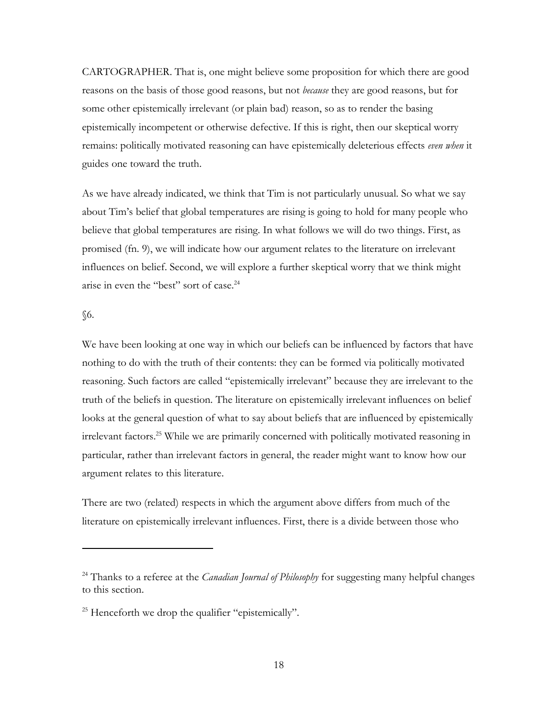CARTOGRAPHER. That is, one might believe some proposition for which there are good reasons on the basis of those good reasons, but not *because* they are good reasons, but for some other epistemically irrelevant (or plain bad) reason, so as to render the basing epistemically incompetent or otherwise defective. If this is right, then our skeptical worry remains: politically motivated reasoning can have epistemically deleterious effects *even when* it guides one toward the truth.

As we have already indicated, we think that Tim is not particularly unusual. So what we say about Tim's belief that global temperatures are rising is going to hold for many people who believe that global temperatures are rising. In what follows we will do two things. First, as promised (fn. 9), we will indicate how our argument relates to the literature on irrelevant influences on belief. Second, we will explore a further skeptical worry that we think might arise in even the "best" sort of case.<sup>24</sup>

# §6.

We have been looking at one way in which our beliefs can be influenced by factors that have nothing to do with the truth of their contents: they can be formed via politically motivated reasoning. Such factors are called "epistemically irrelevant" because they are irrelevant to the truth of the beliefs in question. The literature on epistemically irrelevant influences on belief looks at the general question of what to say about beliefs that are influenced by epistemically irrelevant factors.<sup>25</sup> While we are primarily concerned with politically motivated reasoning in particular, rather than irrelevant factors in general, the reader might want to know how our argument relates to this literature.

There are two (related) respects in which the argument above differs from much of the literature on epistemically irrelevant influences. First, there is a divide between those who

<sup>24</sup> Thanks to a referee at the *Canadian Journal of Philosophy* for suggesting many helpful changes to this section.

<sup>&</sup>lt;sup>25</sup> Henceforth we drop the qualifier "epistemically".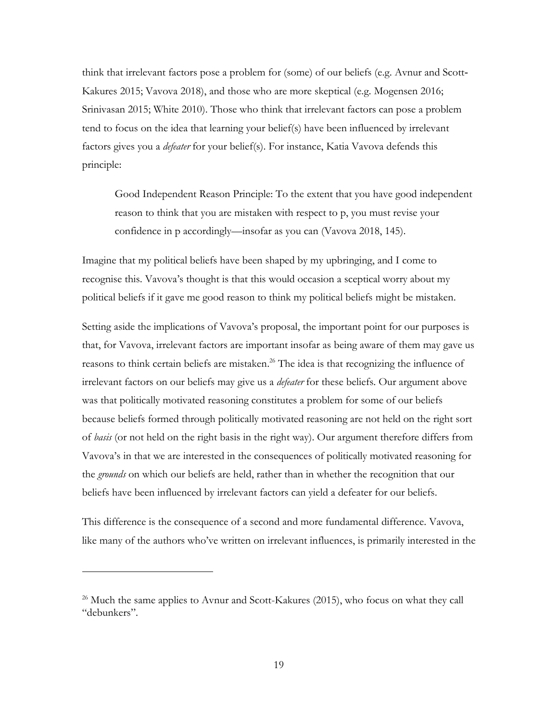think that irrelevant factors pose a problem for (some) of our beliefs (e.g. Avnur and Scott‐ Kakures 2015; Vavova 2018), and those who are more skeptical (e.g. Mogensen 2016; Srinivasan 2015; White 2010). Those who think that irrelevant factors can pose a problem tend to focus on the idea that learning your belief(s) have been influenced by irrelevant factors gives you a *defeater* for your belief(s). For instance, Katia Vavova defends this principle:

Good Independent Reason Principle: To the extent that you have good independent reason to think that you are mistaken with respect to p, you must revise your confidence in p accordingly—insofar as you can (Vavova 2018, 145).

Imagine that my political beliefs have been shaped by my upbringing, and I come to recognise this. Vavova's thought is that this would occasion a sceptical worry about my political beliefs if it gave me good reason to think my political beliefs might be mistaken.

Setting aside the implications of Vavova's proposal, the important point for our purposes is that, for Vavova, irrelevant factors are important insofar as being aware of them may gave us reasons to think certain beliefs are mistaken.<sup>26</sup> The idea is that recognizing the influence of irrelevant factors on our beliefs may give us a *defeater* for these beliefs. Our argument above was that politically motivated reasoning constitutes a problem for some of our beliefs because beliefs formed through politically motivated reasoning are not held on the right sort of *basis* (or not held on the right basis in the right way). Our argument therefore differs from Vavova's in that we are interested in the consequences of politically motivated reasoning for the *grounds* on which our beliefs are held, rather than in whether the recognition that our beliefs have been influenced by irrelevant factors can yield a defeater for our beliefs.

This difference is the consequence of a second and more fundamental difference. Vavova, like many of the authors who've written on irrelevant influences, is primarily interested in the

<sup>&</sup>lt;sup>26</sup> Much the same applies to Avnur and Scott-Kakures (2015), who focus on what they call "debunkers".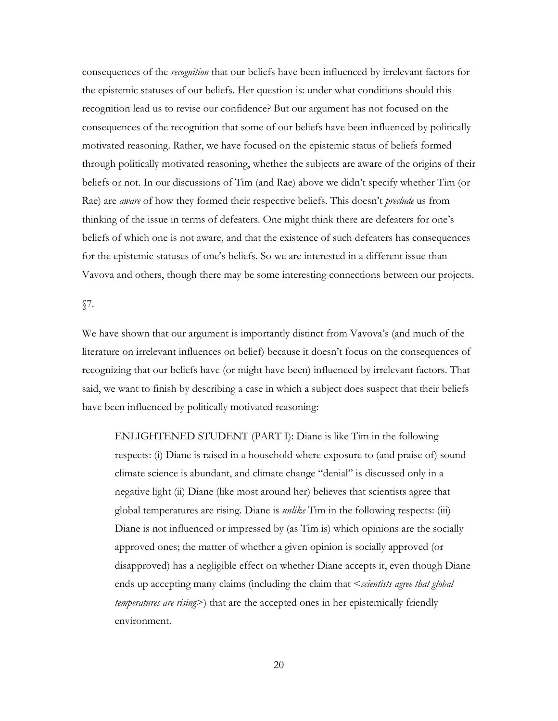consequences of the *recognition* that our beliefs have been influenced by irrelevant factors for the epistemic statuses of our beliefs. Her question is: under what conditions should this recognition lead us to revise our confidence? But our argument has not focused on the consequences of the recognition that some of our beliefs have been influenced by politically motivated reasoning. Rather, we have focused on the epistemic status of beliefs formed through politically motivated reasoning, whether the subjects are aware of the origins of their beliefs or not. In our discussions of Tim (and Rae) above we didn't specify whether Tim (or Rae) are *aware* of how they formed their respective beliefs. This doesn't *preclude* us from thinking of the issue in terms of defeaters. One might think there are defeaters for one's beliefs of which one is not aware, and that the existence of such defeaters has consequences for the epistemic statuses of one's beliefs. So we are interested in a different issue than Vavova and others, though there may be some interesting connections between our projects.

§7.

We have shown that our argument is importantly distinct from Vavova's (and much of the literature on irrelevant influences on belief) because it doesn't focus on the consequences of recognizing that our beliefs have (or might have been) influenced by irrelevant factors. That said, we want to finish by describing a case in which a subject does suspect that their beliefs have been influenced by politically motivated reasoning:

ENLIGHTENED STUDENT (PART I): Diane is like Tim in the following respects: (i) Diane is raised in a household where exposure to (and praise of) sound climate science is abundant, and climate change "denial" is discussed only in a negative light (ii) Diane (like most around her) believes that scientists agree that global temperatures are rising. Diane is *unlike* Tim in the following respects: (iii) Diane is not influenced or impressed by (as Tim is) which opinions are the socially approved ones; the matter of whether a given opinion is socially approved (or disapproved) has a negligible effect on whether Diane accepts it, even though Diane ends up accepting many claims (including the claim that <*scientists agree that global temperatures are rising*>) that are the accepted ones in her epistemically friendly environment.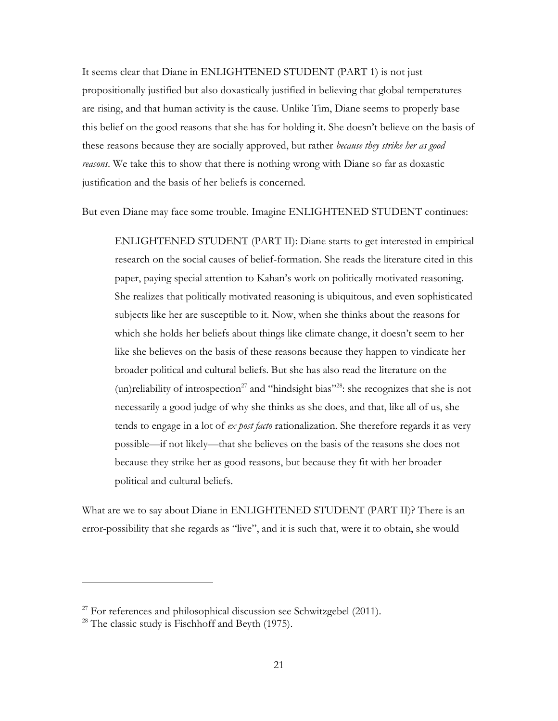It seems clear that Diane in ENLIGHTENED STUDENT (PART 1) is not just propositionally justified but also doxastically justified in believing that global temperatures are rising, and that human activity is the cause. Unlike Tim, Diane seems to properly base this belief on the good reasons that she has for holding it. She doesn't believe on the basis of these reasons because they are socially approved, but rather *because they strike her as good reasons*. We take this to show that there is nothing wrong with Diane so far as doxastic justification and the basis of her beliefs is concerned.

But even Diane may face some trouble. Imagine ENLIGHTENED STUDENT continues:

ENLIGHTENED STUDENT (PART II): Diane starts to get interested in empirical research on the social causes of belief-formation. She reads the literature cited in this paper, paying special attention to Kahan's work on politically motivated reasoning. She realizes that politically motivated reasoning is ubiquitous, and even sophisticated subjects like her are susceptible to it. Now, when she thinks about the reasons for which she holds her beliefs about things like climate change, it doesn't seem to her like she believes on the basis of these reasons because they happen to vindicate her broader political and cultural beliefs. But she has also read the literature on the (un)reliability of introspection<sup>27</sup> and "hindsight bias"<sup>28</sup>: she recognizes that she is not necessarily a good judge of why she thinks as she does, and that, like all of us, she tends to engage in a lot of *ex post facto* rationalization. She therefore regards it as very possible—if not likely—that she believes on the basis of the reasons she does not because they strike her as good reasons, but because they fit with her broader political and cultural beliefs.

What are we to say about Diane in ENLIGHTENED STUDENT (PART II)? There is an error-possibility that she regards as "live", and it is such that, were it to obtain, she would

 $27$  For references and philosophical discussion see Schwitzgebel (2011).

<sup>&</sup>lt;sup>28</sup> The classic study is Fischhoff and Beyth (1975).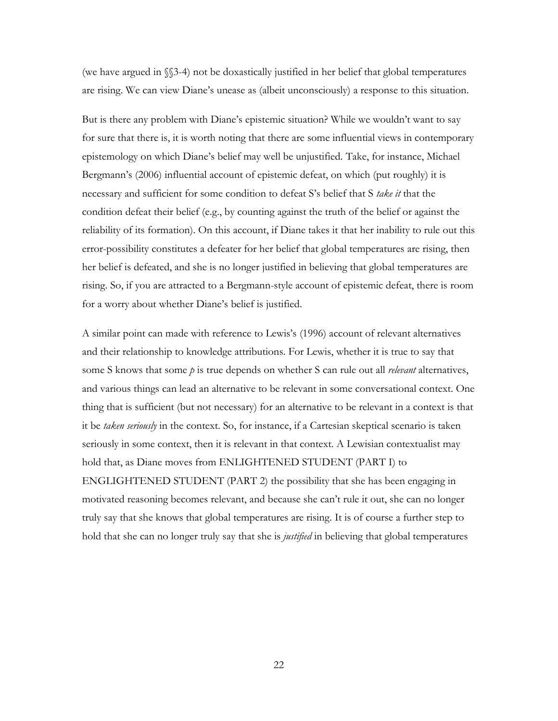(we have argued in §§3-4) not be doxastically justified in her belief that global temperatures are rising. We can view Diane's unease as (albeit unconsciously) a response to this situation.

But is there any problem with Diane's epistemic situation? While we wouldn't want to say for sure that there is, it is worth noting that there are some influential views in contemporary epistemology on which Diane's belief may well be unjustified. Take, for instance, Michael Bergmann's (2006) influential account of epistemic defeat, on which (put roughly) it is necessary and sufficient for some condition to defeat S's belief that S *take it* that the condition defeat their belief (e.g., by counting against the truth of the belief or against the reliability of its formation). On this account, if Diane takes it that her inability to rule out this error-possibility constitutes a defeater for her belief that global temperatures are rising, then her belief is defeated, and she is no longer justified in believing that global temperatures are rising. So, if you are attracted to a Bergmann-style account of epistemic defeat, there is room for a worry about whether Diane's belief is justified.

A similar point can made with reference to Lewis's (1996) account of relevant alternatives and their relationship to knowledge attributions. For Lewis, whether it is true to say that some S knows that some *p* is true depends on whether S can rule out all *relevant* alternatives, and various things can lead an alternative to be relevant in some conversational context. One thing that is sufficient (but not necessary) for an alternative to be relevant in a context is that it be *taken seriously* in the context. So, for instance, if a Cartesian skeptical scenario is taken seriously in some context, then it is relevant in that context. A Lewisian contextualist may hold that, as Diane moves from ENLIGHTENED STUDENT (PART I) to ENGLIGHTENED STUDENT (PART 2) the possibility that she has been engaging in motivated reasoning becomes relevant, and because she can't rule it out, she can no longer truly say that she knows that global temperatures are rising. It is of course a further step to hold that she can no longer truly say that she is *justified* in believing that global temperatures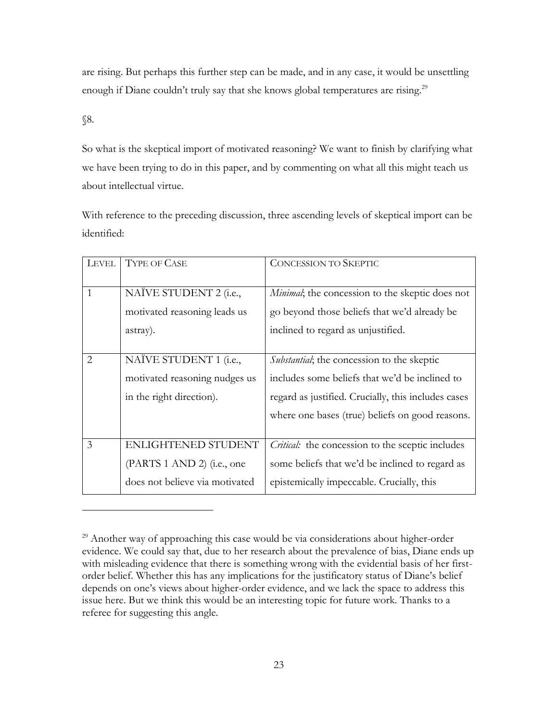are rising. But perhaps this further step can be made, and in any case, it would be unsettling enough if Diane couldn't truly say that she knows global temperatures are rising.<sup>29</sup>

# §8.

So what is the skeptical import of motivated reasoning? We want to finish by clarifying what we have been trying to do in this paper, and by commenting on what all this might teach us about intellectual virtue.

With reference to the preceding discussion, three ascending levels of skeptical import can be identified:

| LEVEL        | <b>TYPE OF CASE</b>                                                                 | <b>CONCESSION TO SKEPTIC</b>                                                                                                                                                                                   |
|--------------|-------------------------------------------------------------------------------------|----------------------------------------------------------------------------------------------------------------------------------------------------------------------------------------------------------------|
| $\mathbf{1}$ | NAÏVE STUDENT 2 (i.e.,<br>motivated reasoning leads us<br>astray).                  | <i>Minimal</i> ; the concession to the skeptic does not<br>go beyond those beliefs that we'd already be<br>inclined to regard as unjustified.                                                                  |
| 2            | NAÏVE STUDENT 1 (i.e.,<br>motivated reasoning nudges us<br>in the right direction). | <i>Substantial</i> ; the concession to the skeptic<br>includes some beliefs that we'd be inclined to<br>regard as justified. Crucially, this includes cases<br>where one bases (true) beliefs on good reasons. |
| 3            | ENLIGHTENED STUDENT<br>(PARTS 1 AND 2) (i.e., one<br>does not believe via motivated | Critical: the concession to the sceptic includes<br>some beliefs that we'd be inclined to regard as<br>epistemically impeccable. Crucially, this                                                               |

<sup>&</sup>lt;sup>29</sup> Another way of approaching this case would be via considerations about higher-order evidence. We could say that, due to her research about the prevalence of bias, Diane ends up with misleading evidence that there is something wrong with the evidential basis of her firstorder belief. Whether this has any implications for the justificatory status of Diane's belief depends on one's views about higher-order evidence, and we lack the space to address this issue here. But we think this would be an interesting topic for future work. Thanks to a referee for suggesting this angle.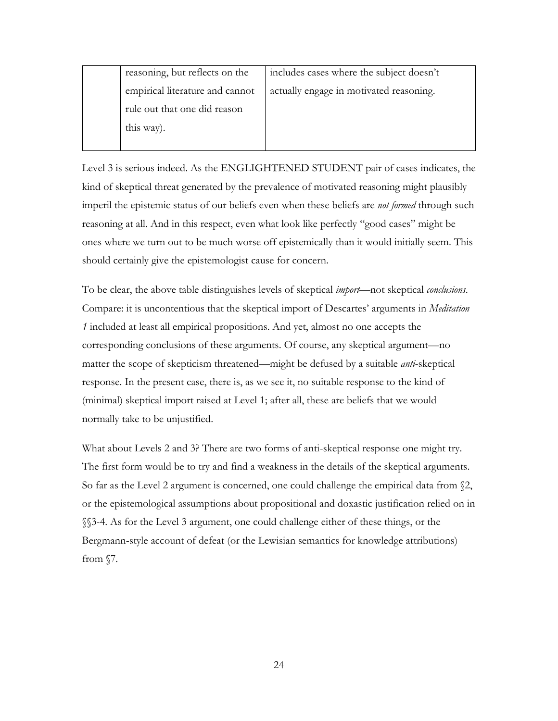reasoning, but reflects on the empirical literature and cannot rule out that one did reason this way). includes cases where the subject doesn't actually engage in motivated reasoning.

Level 3 is serious indeed. As the ENGLIGHTENED STUDENT pair of cases indicates, the kind of skeptical threat generated by the prevalence of motivated reasoning might plausibly imperil the epistemic status of our beliefs even when these beliefs are *not formed* through such reasoning at all. And in this respect, even what look like perfectly "good cases" might be ones where we turn out to be much worse off epistemically than it would initially seem. This should certainly give the epistemologist cause for concern.

To be clear, the above table distinguishes levels of skeptical *import*—not skeptical *conclusions*. Compare: it is uncontentious that the skeptical import of Descartes' arguments in *Meditation 1* included at least all empirical propositions. And yet, almost no one accepts the corresponding conclusions of these arguments. Of course, any skeptical argument—no matter the scope of skepticism threatened—might be defused by a suitable *anti*-skeptical response. In the present case, there is, as we see it, no suitable response to the kind of (minimal) skeptical import raised at Level 1; after all, these are beliefs that we would normally take to be unjustified.

What about Levels 2 and 3? There are two forms of anti-skeptical response one might try. The first form would be to try and find a weakness in the details of the skeptical arguments. So far as the Level 2 argument is concerned, one could challenge the empirical data from §2, or the epistemological assumptions about propositional and doxastic justification relied on in §§3-4. As for the Level 3 argument, one could challenge either of these things, or the Bergmann-style account of defeat (or the Lewisian semantics for knowledge attributions) from §7.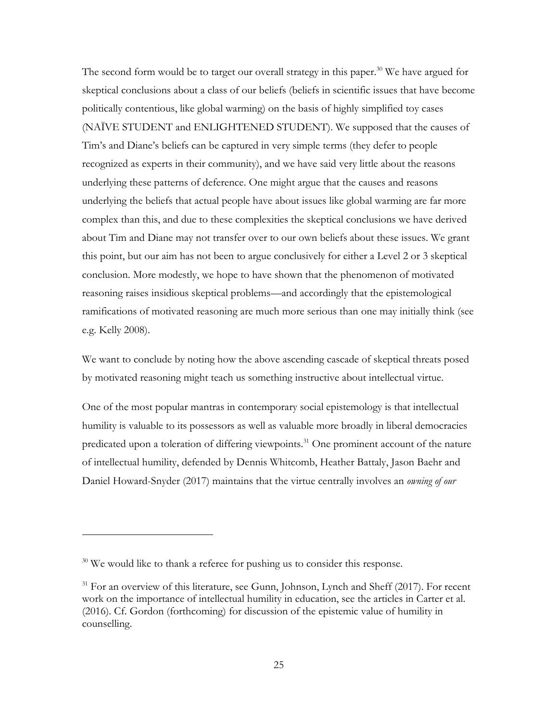The second form would be to target our overall strategy in this paper.<sup>30</sup> We have argued for skeptical conclusions about a class of our beliefs (beliefs in scientific issues that have become politically contentious, like global warming) on the basis of highly simplified toy cases (NAÏVE STUDENT and ENLIGHTENED STUDENT). We supposed that the causes of Tim's and Diane's beliefs can be captured in very simple terms (they defer to people recognized as experts in their community), and we have said very little about the reasons underlying these patterns of deference. One might argue that the causes and reasons underlying the beliefs that actual people have about issues like global warming are far more complex than this, and due to these complexities the skeptical conclusions we have derived about Tim and Diane may not transfer over to our own beliefs about these issues. We grant this point, but our aim has not been to argue conclusively for either a Level 2 or 3 skeptical conclusion. More modestly, we hope to have shown that the phenomenon of motivated reasoning raises insidious skeptical problems—and accordingly that the epistemological ramifications of motivated reasoning are much more serious than one may initially think (see e.g. Kelly 2008).

We want to conclude by noting how the above ascending cascade of skeptical threats posed by motivated reasoning might teach us something instructive about intellectual virtue.

One of the most popular mantras in contemporary social epistemology is that intellectual humility is valuable to its possessors as well as valuable more broadly in liberal democracies predicated upon a toleration of differing viewpoints.<sup>31</sup> One prominent account of the nature of intellectual humility, defended by Dennis Whitcomb, Heather Battaly, Jason Baehr and Daniel Howard-Snyder (2017) maintains that the virtue centrally involves an *owning of our* 

 $30$  We would like to thank a referee for pushing us to consider this response.

<sup>&</sup>lt;sup>31</sup> For an overview of this literature, see Gunn, Johnson, Lynch and Sheff (2017). For recent work on the importance of intellectual humility in education, see the articles in Carter et al. (2016). Cf. Gordon (forthcoming) for discussion of the epistemic value of humility in counselling.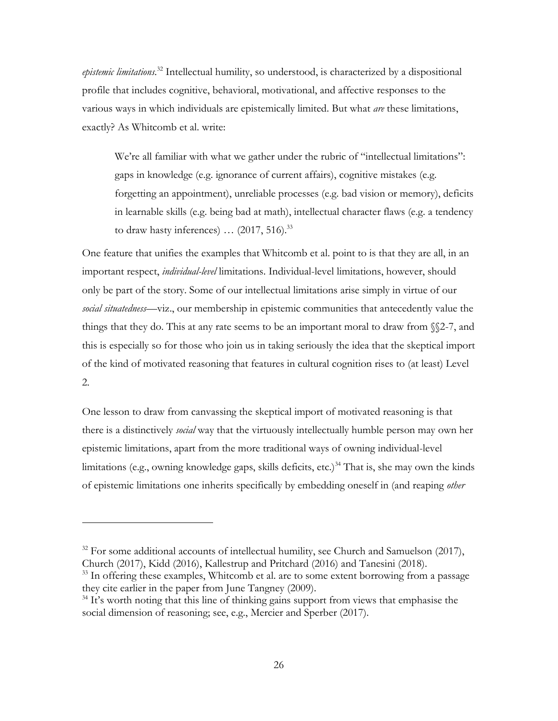*epistemic limitations.*<sup>32</sup> Intellectual humility, so understood, is characterized by a dispositional profile that includes cognitive, behavioral, motivational, and affective responses to the various ways in which individuals are epistemically limited. But what *are* these limitations, exactly? As Whitcomb et al. write:

We're all familiar with what we gather under the rubric of "intellectual limitations": gaps in knowledge (e.g. ignorance of current affairs), cognitive mistakes (e.g. forgetting an appointment), unreliable processes (e.g. bad vision or memory), deficits in learnable skills (e.g. being bad at math), intellectual character flaws (e.g. a tendency to draw hasty inferences) ... (2017, 516).<sup>33</sup>

One feature that unifies the examples that Whitcomb et al. point to is that they are all, in an important respect, *individual-level* limitations. Individual-level limitations, however, should only be part of the story. Some of our intellectual limitations arise simply in virtue of our *social situatedness*—viz., our membership in epistemic communities that antecedently value the things that they do. This at any rate seems to be an important moral to draw from §§2-7, and this is especially so for those who join us in taking seriously the idea that the skeptical import of the kind of motivated reasoning that features in cultural cognition rises to (at least) Level 2.

One lesson to draw from canvassing the skeptical import of motivated reasoning is that there is a distinctively *social* way that the virtuously intellectually humble person may own her epistemic limitations, apart from the more traditional ways of owning individual-level limitations (e.g., owning knowledge gaps, skills deficits, etc.)<sup>34</sup> That is, she may own the kinds of epistemic limitations one inherits specifically by embedding oneself in (and reaping *other* 

 $32$  For some additional accounts of intellectual humility, see Church and Samuelson (2017), Church (2017), Kidd (2016), Kallestrup and Pritchard (2016) and Tanesini (2018).

<sup>&</sup>lt;sup>33</sup> In offering these examples, Whitcomb et al. are to some extent borrowing from a passage they cite earlier in the paper from June Tangney (2009).

 $34$  It's worth noting that this line of thinking gains support from views that emphasise the social dimension of reasoning; see, e.g., Mercier and Sperber (2017).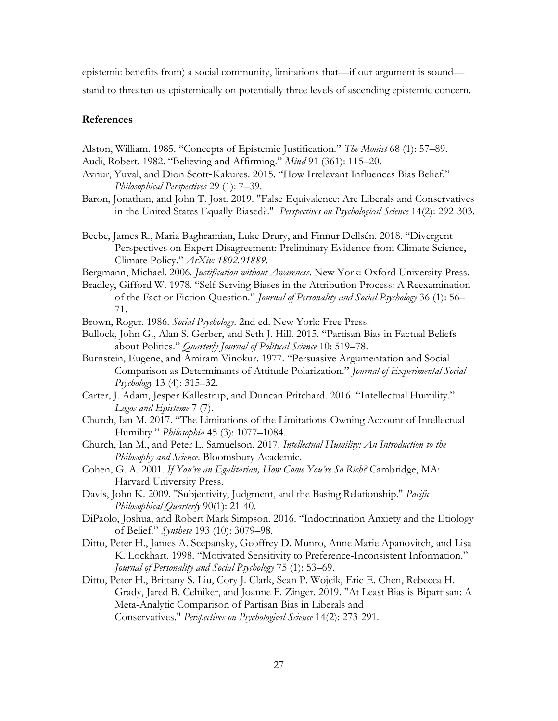epistemic benefits from) a social community, limitations that—if our argument is sound—

stand to threaten us epistemically on potentially three levels of ascending epistemic concern.

# **References**

- Alston, William. 1985. "Concepts of Epistemic Justification." *The Monist* 68 (1): 57–89.
- Audi, Robert. 1982. "Believing and Affirming." *Mind* 91 (361): 115–20.
- Avnur, Yuval, and Dion Scott‐Kakures. 2015. "How Irrelevant Influences Bias Belief." *Philosophical Perspectives* 29 (1): 7–39.
- Baron, Jonathan, and John T. Jost. 2019. "False Equivalence: Are Liberals and Conservatives in the United States Equally Biased?." *Perspectives on Psychological Science* 14(2): 292-303.
- Beebe, James R., Maria Baghramian, Luke Drury, and Finnur Dellsén. 2018. "Divergent Perspectives on Expert Disagreement: Preliminary Evidence from Climate Science, Climate Policy." *ArXiv: 1802.01889*.
- Bergmann, Michael. 2006. *Justification without Awareness*. New York: Oxford University Press.
- Bradley, Gifford W. 1978. "Self-Serving Biases in the Attribution Process: A Reexamination of the Fact or Fiction Question." *Journal of Personality and Social Psychology* 36 (1): 56– 71.
- Brown, Roger. 1986. *Social Psychology*. 2nd ed. New York: Free Press.
- Bullock, John G., Alan S. Gerber, and Seth J. Hill. 2015. "Partisan Bias in Factual Beliefs about Politics." *Quarterly Journal of Political Science* 10: 519–78.
- Burnstein, Eugene, and Amiram Vinokur. 1977. "Persuasive Argumentation and Social Comparison as Determinants of Attitude Polarization." *Journal of Experimental Social Psychology* 13 (4): 315–32.
- Carter, J. Adam, Jesper Kallestrup, and Duncan Pritchard. 2016. "Intellectual Humility." *Logos and Episteme* 7 (7).
- Church, Ian M. 2017. "The Limitations of the Limitations-Owning Account of Intellectual Humility." *Philosophia* 45 (3): 1077–1084.
- Church, Ian M., and Peter L. Samuelson. 2017. *Intellectual Humility: An Introduction to the Philosophy and Science*. Bloomsbury Academic.
- Cohen, G. A. 2001. *If You're an Egalitarian, How Come You're So Rich?* Cambridge, MA: Harvard University Press.
- Davis, John K. 2009. "Subjectivity, Judgment, and the Basing Relationship." *Pacific Philosophical Quarterly* 90(1): 21-40.
- DiPaolo, Joshua, and Robert Mark Simpson. 2016. "Indoctrination Anxiety and the Etiology of Belief." *Synthese* 193 (10): 3079–98.
- Ditto, Peter H., James A. Scepansky, Geoffrey D. Munro, Anne Marie Apanovitch, and Lisa K. Lockhart. 1998. "Motivated Sensitivity to Preference-Inconsistent Information." *Journal of Personality and Social Psychology* 75 (1): 53–69.
- Ditto, Peter H., Brittany S. Liu, Cory J. Clark, Sean P. Wojcik, Eric E. Chen, Rebecca H. Grady, Jared B. Celniker, and Joanne F. Zinger. 2019. "At Least Bias is Bipartisan: A Meta-Analytic Comparison of Partisan Bias in Liberals and Conservatives." *Perspectives on Psychological Science* 14(2): 273-291.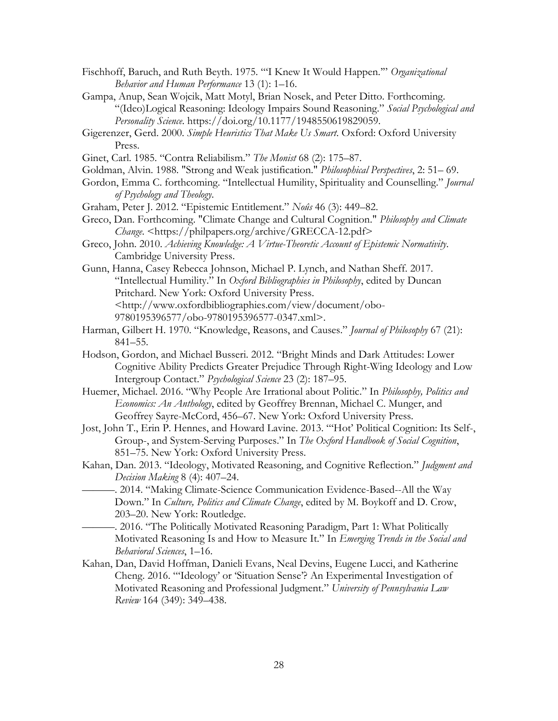- Fischhoff, Baruch, and Ruth Beyth. 1975. "'I Knew It Would Happen.'" *Organizational Behavior and Human Performance* 13 (1): 1–16.
- Gampa, Anup, Sean Wojcik, Matt Motyl, Brian Nosek, and Peter Ditto. Forthcoming. "(Ideo)Logical Reasoning: Ideology Impairs Sound Reasoning." *Social Psychological and Personality Science*. https://doi.org/10.1177/1948550619829059.
- Gigerenzer, Gerd. 2000. *Simple Heuristics That Make Us Smart*. Oxford: Oxford University Press.
- Ginet, Carl. 1985. "Contra Reliabilism." *The Monist* 68 (2): 175–87.
- Goldman, Alvin. 1988. "Strong and Weak justification." *Philosophical Perspectives*, 2: 51– 69.
- Gordon, Emma C. forthcoming. "Intellectual Humility, Spirituality and Counselling." *Journal of Psychology and Theology*.
- Graham, Peter J. 2012. "Epistemic Entitlement." *Noûs* 46 (3): 449–82.
- Greco, Dan. Forthcoming. "Climate Change and Cultural Cognition." *Philosophy and Climate Change*. <https://philpapers.org/archive/GRECCA-12.pdf>
- Greco, John. 2010. *Achieving Knowledge: A Virtue-Theoretic Account of Epistemic Normativity*. Cambridge University Press.
- Gunn, Hanna, Casey Rebecca Johnson, Michael P. Lynch, and Nathan Sheff. 2017. "Intellectual Humility." In *Oxford Bibliographies in Philosophy*, edited by Duncan Pritchard. New York: Oxford University Press. <http://www.oxfordbibliographies.com/view/document/obo-9780195396577/obo-9780195396577-0347.xml>.
- Harman, Gilbert H. 1970. "Knowledge, Reasons, and Causes." *Journal of Philosophy* 67 (21): 841–55.
- Hodson, Gordon, and Michael Busseri. 2012. "Bright Minds and Dark Attitudes: Lower Cognitive Ability Predicts Greater Prejudice Through Right-Wing Ideology and Low Intergroup Contact." *Psychological Science* 23 (2): 187–95.
- Huemer, Michael. 2016. "Why People Are Irrational about Politic." In *Philosophy, Politics and Economics: An Anthology*, edited by Geoffrey Brennan, Michael C. Munger, and Geoffrey Sayre-McCord, 456–67. New York: Oxford University Press.
- Jost, John T., Erin P. Hennes, and Howard Lavine. 2013. "'Hot' Political Cognition: Its Self-, Group-, and System-Serving Purposes." In *The Oxford Handbook of Social Cognition*, 851–75. New York: Oxford University Press.
- Kahan, Dan. 2013. "Ideology, Motivated Reasoning, and Cognitive Reflection." *Judgment and Decision Making* 8 (4): 407–24.
	- ———. 2014. "Making Climate-Science Communication Evidence-Based--All the Way Down." In *Culture, Politics and Climate Change*, edited by M. Boykoff and D. Crow, 203–20. New York: Routledge.
- -. 2016. "The Politically Motivated Reasoning Paradigm, Part 1: What Politically Motivated Reasoning Is and How to Measure It." In *Emerging Trends in the Social and Behavioral Sciences*, 1–16.
- Kahan, Dan, David Hoffman, Danieli Evans, Neal Devins, Eugene Lucci, and Katherine Cheng. 2016. "'Ideology' or 'Situation Sense'? An Experimental Investigation of Motivated Reasoning and Professional Judgment." *University of Pennsylvania Law Review* 164 (349): 349–438.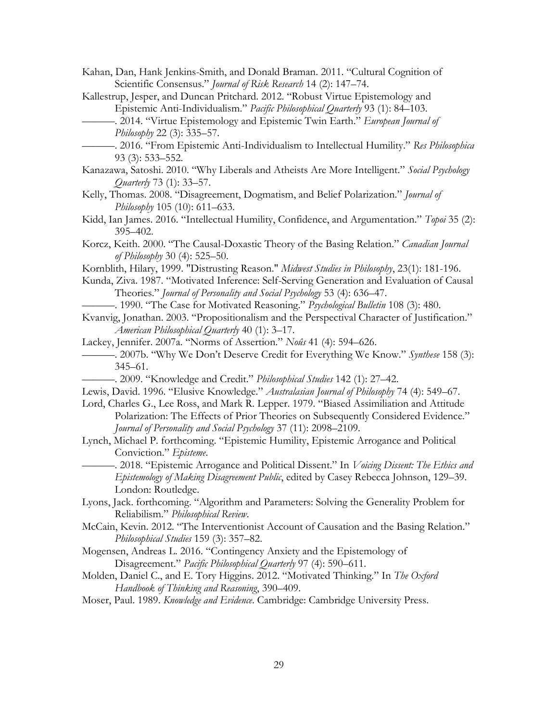| Kahan, Dan, Hank Jenkins-Smith, and Donald Braman. 2011. "Cultural Cognition of               |  |  |
|-----------------------------------------------------------------------------------------------|--|--|
| Scientific Consensus." Journal of Risk Research 14 (2): 147-74.                               |  |  |
| Kallestrup, Jesper, and Duncan Pritchard. 2012. "Robust Virtue Epistemology and               |  |  |
| Epistemic Anti-Individualism." Pacific Philosophical Quarterly 93 (1): 84-103.                |  |  |
| -2014. "Virtue Epistemology and Epistemic Twin Earth." European Journal of                    |  |  |
| Philosophy 22 (3): 335-57.                                                                    |  |  |
|                                                                                               |  |  |
| 2016. "From Epistemic Anti-Individualism to Intellectual Humility." Res Philosophica          |  |  |
| 93 (3): 533-552.                                                                              |  |  |
| Kanazawa, Satoshi. 2010. "Why Liberals and Atheists Are More Intelligent." Social Psychology  |  |  |
| Quarterly 73 (1): 33–57.                                                                      |  |  |
| Kelly, Thomas. 2008. "Disagreement, Dogmatism, and Belief Polarization." Journal of           |  |  |
| Philosophy 105 (10): 611-633.                                                                 |  |  |
| Kidd, Ian James. 2016. "Intellectual Humility, Confidence, and Argumentation." Topoi 35 (2):  |  |  |
| $395 - 402$ .                                                                                 |  |  |
| Korcz, Keith. 2000. "The Causal-Doxastic Theory of the Basing Relation." Canadian Journal     |  |  |
| of Philosophy 30 (4): 525-50.                                                                 |  |  |
| Kornblith, Hilary, 1999. "Distrusting Reason." Midwest Studies in Philosophy, 23(1): 181-196. |  |  |
|                                                                                               |  |  |
| Kunda, Ziva. 1987. "Motivated Inference: Self-Serving Generation and Evaluation of Causal     |  |  |
| Theories." Journal of Personality and Social Psychology 53 (4): 636–47.                       |  |  |
|                                                                                               |  |  |
| Kvanvig, Jonathan. 2003. "Propositionalism and the Perspectival Character of Justification."  |  |  |
| American Philosophical Quarterly 40 (1): 3-17.                                                |  |  |
| Lackey, Jennifer. 2007a. "Norms of Assertion." Noûs 41 (4): 594–626.                          |  |  |
|                                                                                               |  |  |
| $345 - 61$ .                                                                                  |  |  |
|                                                                                               |  |  |
| Lewis, David. 1996. "Elusive Knowledge." Australasian Journal of Philosophy 74 (4): 549-67.   |  |  |
| Lord, Charles G., Lee Ross, and Mark R. Lepper. 1979. "Biased Assimiliation and Attitude      |  |  |
| Polarization: The Effects of Prior Theories on Subsequently Considered Evidence."             |  |  |
| Journal of Personality and Social Psychology 37 (11): 2098-2109.                              |  |  |
| Lynch, Michael P. forthcoming. "Epistemic Humility, Epistemic Arrogance and Political         |  |  |
|                                                                                               |  |  |
| Conviction." Episteme.                                                                        |  |  |
| 2018. "Epistemic Arrogance and Political Dissent." In <i>Voicing Dissent</i> : The Ethics and |  |  |
| Epistemology of Making Disagreement Public, edited by Casey Rebecca Johnson, 129-39.          |  |  |
| London: Routledge.                                                                            |  |  |
| Lyons, Jack. forthcoming. "Algorithm and Parameters: Solving the Generality Problem for       |  |  |
| Reliabilism." Philosophical Review.                                                           |  |  |
| McCain, Kevin. 2012. "The Interventionist Account of Causation and the Basing Relation."      |  |  |
| Philosophical Studies 159 (3): 357-82.                                                        |  |  |
| Mogensen, Andreas L. 2016. "Contingency Anxiety and the Epistemology of                       |  |  |
| Disagreement." Pacific Philosophical Quarterly 97 (4): 590–611.                               |  |  |
| Molden, Daniel C., and E. Tory Higgins. 2012. "Motivated Thinking." In The Oxford             |  |  |
| Handbook of Thinking and Reasoning, 390-409.                                                  |  |  |
| Moser, Paul. 1989. Knowledge and Evidence. Cambridge: Cambridge University Press.             |  |  |
|                                                                                               |  |  |
|                                                                                               |  |  |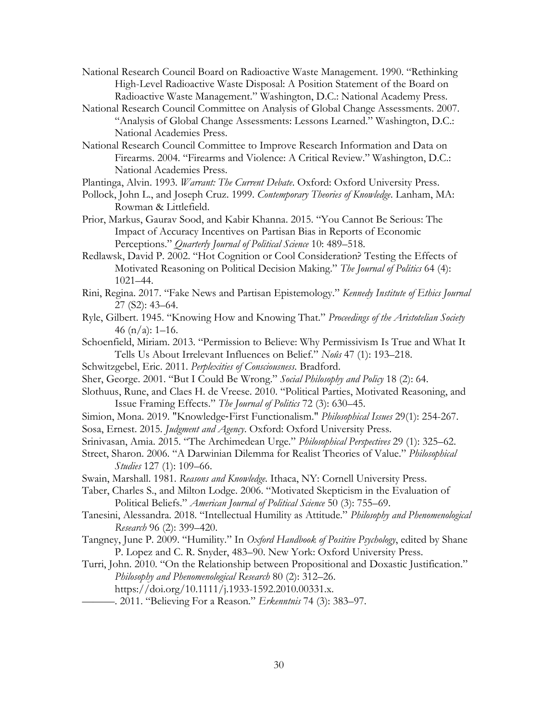- National Research Council Board on Radioactive Waste Management. 1990. "Rethinking High-Level Radioactive Waste Disposal: A Position Statement of the Board on Radioactive Waste Management." Washington, D.C.: National Academy Press.
- National Research Council Committee on Analysis of Global Change Assessments. 2007. "Analysis of Global Change Assessments: Lessons Learned." Washington, D.C.: National Academies Press.
- National Research Council Committee to Improve Research Information and Data on Firearms. 2004. "Firearms and Violence: A Critical Review." Washington, D.C.: National Academies Press.

Plantinga, Alvin. 1993. *Warrant: The Current Debate*. Oxford: Oxford University Press.

- Pollock, John L., and Joseph Cruz. 1999. *Contemporary Theories of Knowledge*. Lanham, MA: Rowman & Littlefield.
- Prior, Markus, Gaurav Sood, and Kabir Khanna. 2015. "You Cannot Be Serious: The Impact of Accuracy Incentives on Partisan Bias in Reports of Economic Perceptions." *Quarterly Journal of Political Science* 10: 489–518.
- Redlawsk, David P. 2002. "Hot Cognition or Cool Consideration? Testing the Effects of Motivated Reasoning on Political Decision Making." *The Journal of Politics* 64 (4): 1021–44.
- Rini, Regina. 2017. "Fake News and Partisan Epistemology." *Kennedy Institute of Ethics Journal* 27 (S2): 43–64.
- Ryle, Gilbert. 1945. "Knowing How and Knowing That." *Proceedings of the Aristotelian Society* 46  $(n/a)$ : 1–16.
- Schoenfield, Miriam. 2013. "Permission to Believe: Why Permissivism Is True and What It Tells Us About Irrelevant Influences on Belief." *Noûs* 47 (1): 193–218.
- Schwitzgebel, Eric. 2011. *Perplexities of Consciousness*. Bradford.
- Sher, George. 2001. "But I Could Be Wrong." *Social Philosophy and Policy* 18 (2): 64.
- Slothuus, Rune, and Claes H. de Vreese. 2010. "Political Parties, Motivated Reasoning, and Issue Framing Effects." *The Journal of Politics* 72 (3): 630–45.
- Simion, Mona. 2019. "Knowledge‐First Functionalism." *Philosophical Issues* 29(1): 254-267.
- Sosa, Ernest. 2015. *Judgment and Agency*. Oxford: Oxford University Press.
- Srinivasan, Amia. 2015. "The Archimedean Urge." *Philosophical Perspectives* 29 (1): 325–62.
- Street, Sharon. 2006. "A Darwinian Dilemma for Realist Theories of Value." *Philosophical Studies* 127 (1): 109–66.
- Swain, Marshall. 1981. *Reasons and Knowledge*. Ithaca, NY: Cornell University Press.
- Taber, Charles S., and Milton Lodge. 2006. "Motivated Skepticism in the Evaluation of Political Beliefs." *American Journal of Political Science* 50 (3): 755–69.
- Tanesini, Alessandra. 2018. "Intellectual Humility as Attitude." *Philosophy and Phenomenological Research* 96 (2): 399–420.
- Tangney, June P. 2009. "Humility." In *Oxford Handbook of Positive Psychology*, edited by Shane P. Lopez and C. R. Snyder, 483–90. New York: Oxford University Press.
- Turri, John. 2010. "On the Relationship between Propositional and Doxastic Justification." *Philosophy and Phenomenological Research* 80 (2): 312–26.
	- https://doi.org/10.1111/j.1933-1592.2010.00331.x.
- ———. 2011. "Believing For a Reason." *Erkenntnis* 74 (3): 383–97.